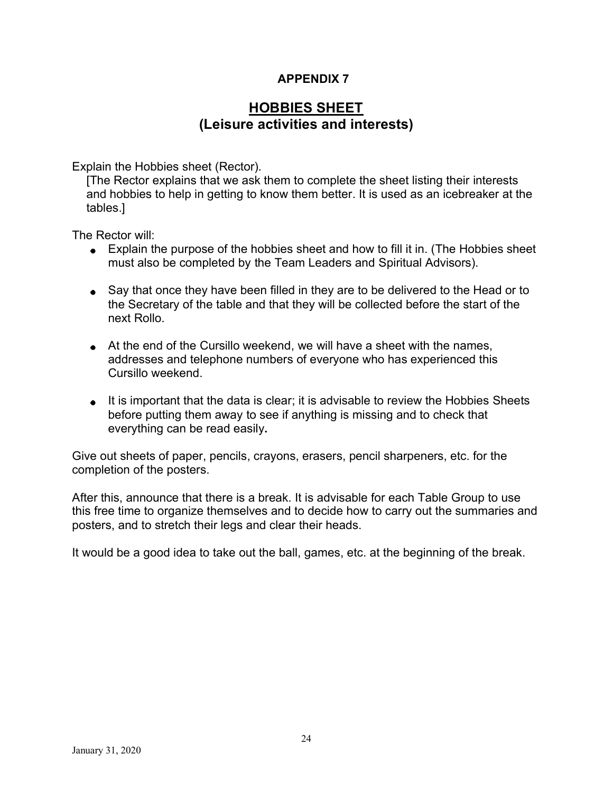## APPENDIX 7

## HOBBIES SHEET (Leisure activities and interests)

Explain the Hobbies sheet (Rector).

[The Rector explains that we ask them to complete the sheet listing their interests and hobbies to help in getting to know them better. It is used as an icebreaker at the tables.]

The Rector will:

- Explain the purpose of the hobbies sheet and how to fill it in. (The Hobbies sheet must also be completed by the Team Leaders and Spiritual Advisors).
- Say that once they have been filled in they are to be delivered to the Head or to the Secretary of the table and that they will be collected before the start of the next Rollo.
- At the end of the Cursillo weekend, we will have a sheet with the names, addresses and telephone numbers of everyone who has experienced this Cursillo weekend.
- $\bullet$  It is important that the data is clear; it is advisable to review the Hobbies Sheets before putting them away to see if anything is missing and to check that everything can be read easily.

Give out sheets of paper, pencils, crayons, erasers, pencil sharpeners, etc. for the completion of the posters.

After this, announce that there is a break. It is advisable for each Table Group to use this free time to organize themselves and to decide how to carry out the summaries and posters, and to stretch their legs and clear their heads.

It would be a good idea to take out the ball, games, etc. at the beginning of the break.